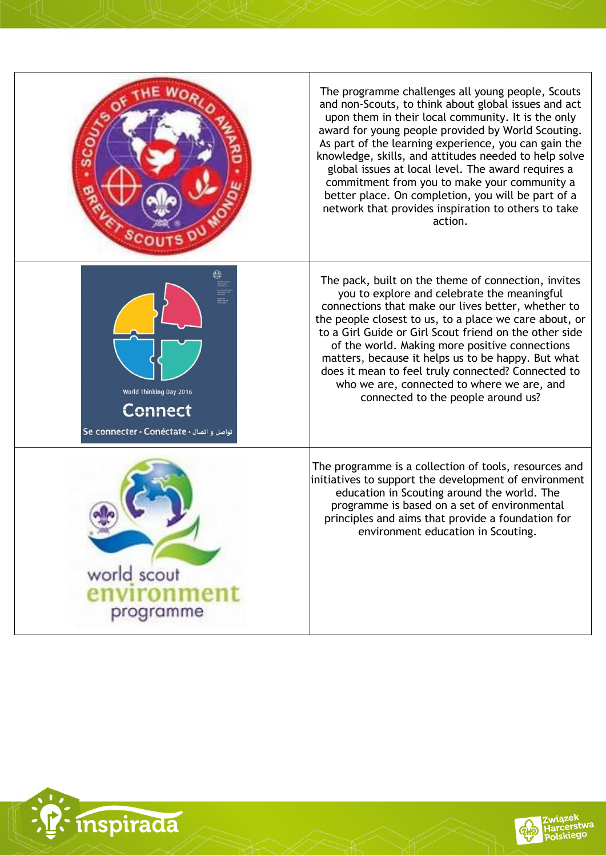



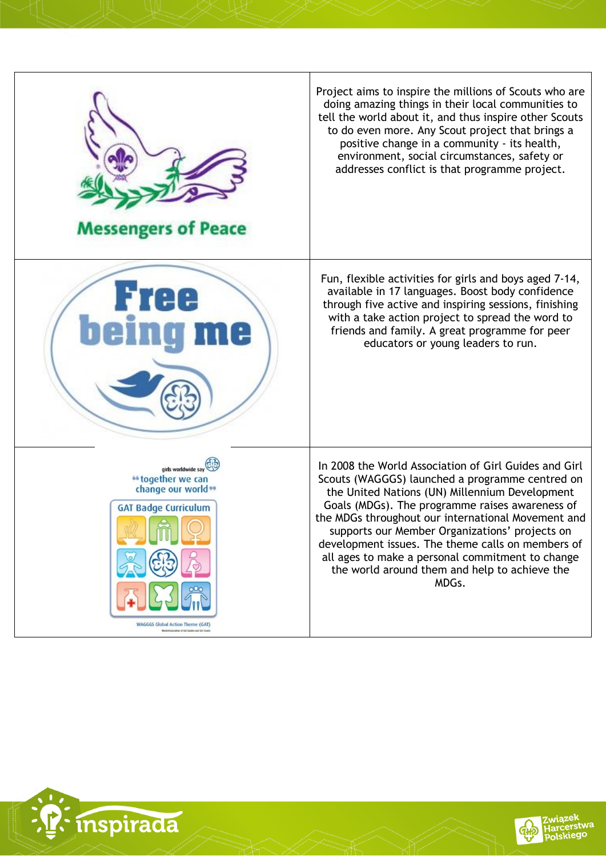